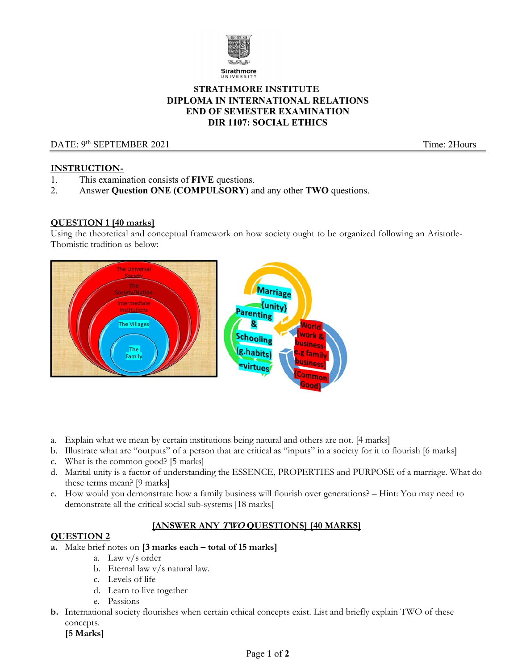

## **STRATHMORE INSTITUTE DIPLOMA IN INTERNATIONAL RELATIONS END OF SEMESTER EXAMINATION DIR 1107: SOCIAL ETHICS**

# DATE: 9<sup>th</sup> SEPTEMBER 2021 **Time:** 2Hours

## **INSTRUCTION-**

- 1. This examination consists of **FIVE** questions.
- 2. Answer **Question ONE (COMPULSORY)** and any other **TWO** questions.

### **QUESTION 1 [40 marks]**

Using the theoretical and conceptual framework on how society ought to be organized following an Aristotle-Thomistic tradition as below:



- a. Explain what we mean by certain institutions being natural and others are not. [4 marks]
- b. Illustrate what are "outputs" of a person that are critical as "inputs" in a society for it to flourish [6 marks]
- c. What is the common good? [5 marks]
- d. Marital unity is a factor of understanding the ESSENCE, PROPERTIES and PURPOSE of a marriage. What do these terms mean? [9 marks]
- e. How would you demonstrate how a family business will flourish over generations? Hint: You may need to demonstrate all the critical social sub-systems [18 marks]

# **[ANSWER ANY TWO QUESTIONS] [40 MARKS]**

## **QUESTION 2**

- **a.** Make brief notes on **[3 marks each total of 15 marks]** 
	- a. Law v/s order
	- b. Eternal law v/s natural law.
	- c. Levels of life
	- d. Learn to live together
	- e. Passions
- **b.** International society flourishes when certain ethical concepts exist. List and briefly explain TWO of these concepts.
	- **[5 Marks]**